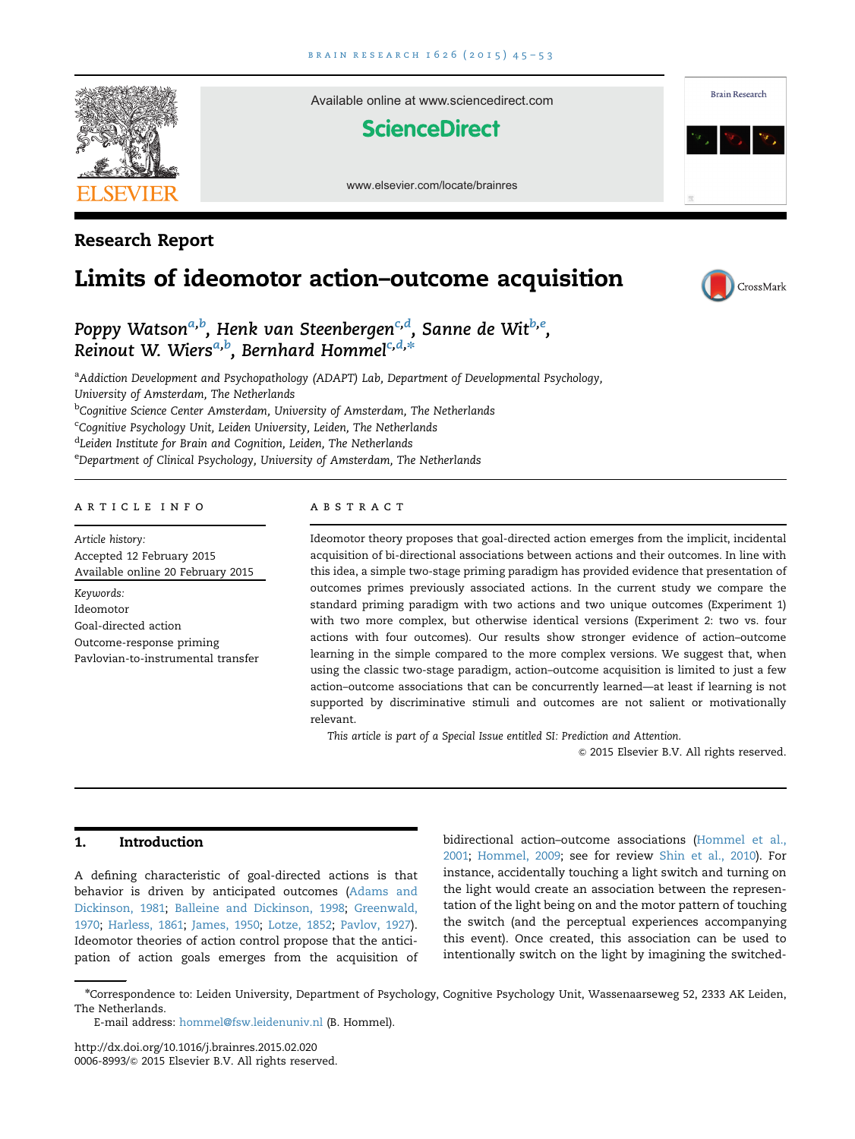Available online at www.sciencedirect.com

**ScienceDirect** 

www.elsevier.com/locate/brainres

<span id="page-0-0"></span>

# Research Report

# Limits of ideomotor action–outcome acquisition



**Brain Research** 

# Poppy Watson<sup>a,b</sup>, Henk van Steenbergen<sup>c,d</sup>, Sanne de Wit<sup>b,e</sup>, Reinout W. Wiers<sup>a,b</sup>, Bernhard Hommel<sup>c,d,</sup>\*

<sup>a</sup>Addiction Development and Psychopathology (ADAPT) Lab, Department of Developmental Psychology, University of Amsterdam, The Netherlands

<sup>b</sup>Cognitive Science Center Amsterdam, University of Amsterdam, The Netherlands

<sup>c</sup>Cognitive Psychology Unit, Leiden University, Leiden, The Netherlands

<sup>d</sup>Leiden Institute for Brain and Cognition, Leiden, The Netherlands

<sup>e</sup>Department of Clinical Psychology, University of Amsterdam, The Netherlands

## article info

Article history: Accepted 12 February 2015 Available online 20 February 2015 Keywords: Ideomotor Goal-directed action Outcome-response priming Pavlovian-to-instrumental transfer

#### **ABSTRACT**

Ideomotor theory proposes that goal-directed action emerges from the implicit, incidental acquisition of bi-directional associations between actions and their outcomes. In line with this idea, a simple two-stage priming paradigm has provided evidence that presentation of outcomes primes previously associated actions. In the current study we compare the standard priming paradigm with two actions and two unique outcomes (Experiment 1) with two more complex, but otherwise identical versions (Experiment 2: two vs. four actions with four outcomes). Our results show stronger evidence of action–outcome learning in the simple compared to the more complex versions. We suggest that, when using the classic two-stage paradigm, action–outcome acquisition is limited to just a few action–outcome associations that can be concurrently learned—at least if learning is not supported by discriminative stimuli and outcomes are not salient or motivationally relevant.

This article is part of a Special Issue entitled SI: Prediction and Attention.

 $©$  2015 Elsevier B.V. All rights reserved.

# 1. Introduction

A defining characteristic of goal-directed actions is that behavior is driven by anticipated outcomes [\(Adams and](#page-7-0) [Dickinson, 1981](#page-7-0); [Balleine and Dickinson, 1998](#page-7-0); [Greenwald,](#page-7-0) [1970](#page-7-0); [Harless, 1861;](#page-7-0) [James, 1950;](#page-7-0) [Lotze, 1852](#page-7-0); [Pavlov, 1927](#page-8-0)). Ideomotor theories of action control propose that the anticipation of action goals emerges from the acquisition of

bidirectional action–outcome associations ([Hommel et al.,](#page-7-0) [2001](#page-7-0); [Hommel, 2009;](#page-7-0) see for review [Shin et al., 2010\)](#page-8-0). For instance, accidentally touching a light switch and turning on the light would create an association between the representation of the light being on and the motor pattern of touching the switch (and the perceptual experiences accompanying this event). Once created, this association can be used to intentionally switch on the light by imagining the switched-

<http://dx.doi.org/10.1016/j.brainres.2015.02.020> 0006-8993/© [2015 Elsevier B.V. All rights reserved.](http://dx.doi.org/10.1016/j.brainres.2015.02.020)

n Correspondence to: Leiden University, Department of Psychology, Cognitive Psychology Unit, Wassenaarseweg 52, 2333 AK Leiden, The Netherlands.

E-mail address: [hommel@fsw.leidenuniv.nl](mailto:hommel@fsw.leidenuniv.nl) (B. Hommel).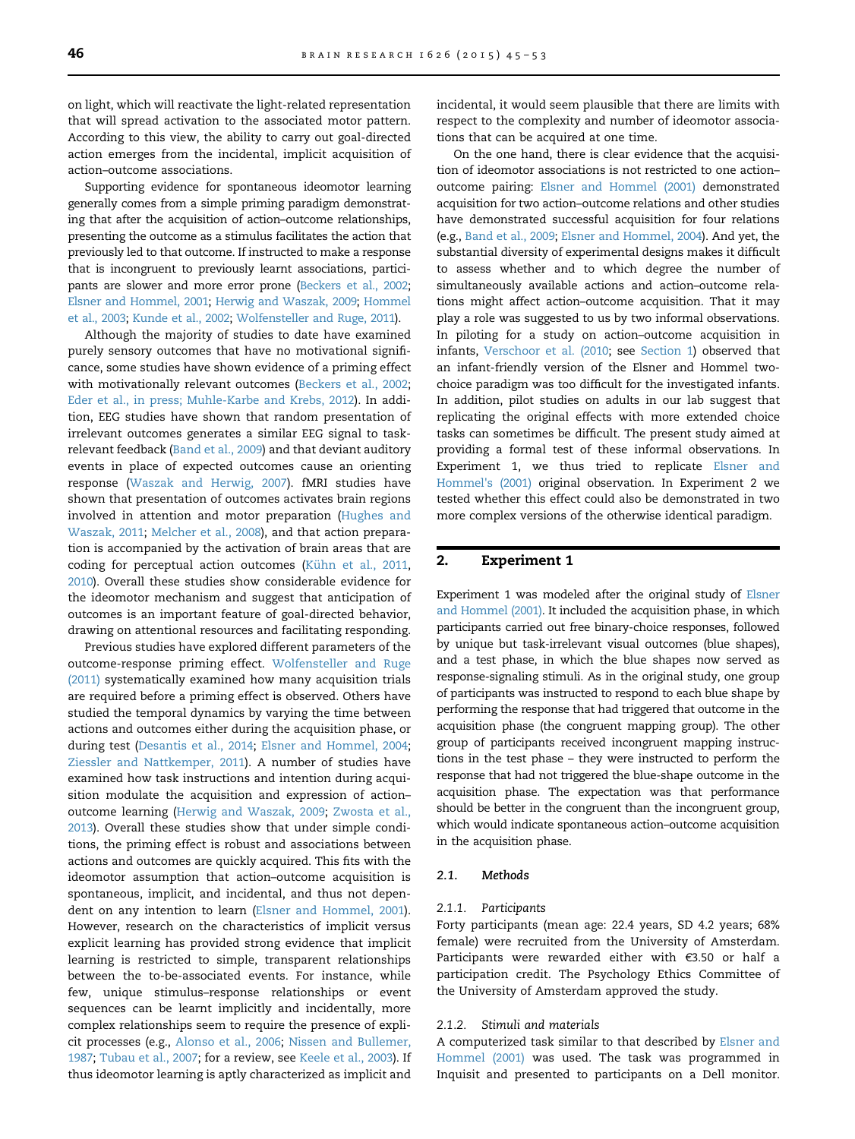on light, which will reactivate the light-related representation that will spread activation to the associated motor pattern. According to this view, the ability to carry out goal-directed action emerges from the incidental, implicit acquisition of action–outcome associations.

Supporting evidence for spontaneous ideomotor learning generally comes from a simple priming paradigm demonstrating that after the acquisition of action–outcome relationships, presenting the outcome as a stimulus facilitates the action that previously led to that outcome. If instructed to make a response that is incongruent to previously learnt associations, participants are slower and more error prone [\(Beckers et al., 2002](#page-7-0); [Elsner and Hommel, 2001](#page-7-0); [Herwig and Waszak, 2009;](#page-7-0) [Hommel](#page-7-0) [et al., 2003;](#page-7-0) [Kunde et al., 2002](#page-7-0); [Wolfensteller and Ruge, 2011](#page-8-0)).

Although the majority of studies to date have examined purely sensory outcomes that have no motivational significance, some studies have shown evidence of a priming effect with motivationally relevant outcomes ([Beckers et al., 2002](#page-7-0); [Eder et al., in press; Muhle-Karbe and Krebs, 2012\)](#page-7-0). In addition, EEG studies have shown that random presentation of irrelevant outcomes generates a similar EEG signal to taskrelevant feedback [\(Band et al., 2009\)](#page-7-0) and that deviant auditory events in place of expected outcomes cause an orienting response [\(Waszak and Herwig, 2007](#page-8-0)). fMRI studies have shown that presentation of outcomes activates brain regions involved in attention and motor preparation ([Hughes and](#page-7-0) [Waszak, 2011](#page-7-0); [Melcher et al., 2008\)](#page-7-0), and that action preparation is accompanied by the activation of brain areas that are coding for perceptual action outcomes ([Kühn et al., 2011](#page-7-0), [2010\)](#page-7-0). Overall these studies show considerable evidence for the ideomotor mechanism and suggest that anticipation of outcomes is an important feature of goal-directed behavior, drawing on attentional resources and facilitating responding.

Previous studies have explored different parameters of the outcome-response priming effect. [Wolfensteller and Ruge](#page-8-0) [\(2011\)](#page-8-0) systematically examined how many acquisition trials are required before a priming effect is observed. Others have studied the temporal dynamics by varying the time between actions and outcomes either during the acquisition phase, or during test [\(Desantis et al., 2014;](#page-7-0) [Elsner and Hommel, 2004](#page-7-0); [Ziessler and Nattkemper, 2011\)](#page-8-0). A number of studies have examined how task instructions and intention during acquisition modulate the acquisition and expression of action– outcome learning [\(Herwig and Waszak, 2009](#page-7-0); [Zwosta et al.,](#page-8-0) [2013\)](#page-8-0). Overall these studies show that under simple conditions, the priming effect is robust and associations between actions and outcomes are quickly acquired. This fits with the ideomotor assumption that action–outcome acquisition is spontaneous, implicit, and incidental, and thus not dependent on any intention to learn [\(Elsner and Hommel, 2001\)](#page-7-0). However, research on the characteristics of implicit versus explicit learning has provided strong evidence that implicit learning is restricted to simple, transparent relationships between the to-be-associated events. For instance, while few, unique stimulus–response relationships or event sequences can be learnt implicitly and incidentally, more complex relationships seem to require the presence of explicit processes (e.g., [Alonso et al., 2006;](#page-7-0) [Nissen and Bullemer,](#page-8-0) [1987;](#page-8-0) [Tubau et al., 2007;](#page-8-0) for a review, see [Keele et al., 2003\)](#page-7-0). If thus ideomotor learning is aptly characterized as implicit and incidental, it would seem plausible that there are limits with respect to the complexity and number of ideomotor associations that can be acquired at one time.

On the one hand, there is clear evidence that the acquisition of ideomotor associations is not restricted to one action– outcome pairing: [Elsner and Hommel \(2001\)](#page-7-0) demonstrated acquisition for two action–outcome relations and other studies have demonstrated successful acquisition for four relations (e.g., [Band et al., 2009;](#page-7-0) [Elsner and Hommel, 2004](#page-7-0)). And yet, the substantial diversity of experimental designs makes it difficult to assess whether and to which degree the number of simultaneously available actions and action–outcome relations might affect action–outcome acquisition. That it may play a role was suggested to us by two informal observations. In piloting for a study on action–outcome acquisition in infants, [Verschoor et al. \(2010](#page-8-0); see [Section 1\)](#page-0-0) observed that an infant-friendly version of the Elsner and Hommel twochoice paradigm was too difficult for the investigated infants. In addition, pilot studies on adults in our lab suggest that replicating the original effects with more extended choice tasks can sometimes be difficult. The present study aimed at providing a formal test of these informal observations. In Experiment 1, we thus tried to replicate [Elsner and](#page-7-0) [Hommel's \(2001\)](#page-7-0) original observation. In Experiment 2 we tested whether this effect could also be demonstrated in two more complex versions of the otherwise identical paradigm.

#### 2. Experiment 1

Experiment 1 was modeled after the original study of [Elsner](#page-7-0) [and Hommel \(2001\).](#page-7-0) It included the acquisition phase, in which participants carried out free binary-choice responses, followed by unique but task-irrelevant visual outcomes (blue shapes), and a test phase, in which the blue shapes now served as response-signaling stimuli. As in the original study, one group of participants was instructed to respond to each blue shape by performing the response that had triggered that outcome in the acquisition phase (the congruent mapping group). The other group of participants received incongruent mapping instructions in the test phase – they were instructed to perform the response that had not triggered the blue-shape outcome in the acquisition phase. The expectation was that performance should be better in the congruent than the incongruent group, which would indicate spontaneous action–outcome acquisition in the acquisition phase.

#### 2.1. Methods

#### 2.1.1. Participants

Forty participants (mean age: 22.4 years, SD 4.2 years; 68% female) were recruited from the University of Amsterdam. Participants were rewarded either with €3.50 or half a participation credit. The Psychology Ethics Committee of the University of Amsterdam approved the study.

#### 2.1.2. Stimuli and materials

A computerized task similar to that described by [Elsner and](#page-7-0) [Hommel \(2001\)](#page-7-0) was used. The task was programmed in Inquisit and presented to participants on a Dell monitor.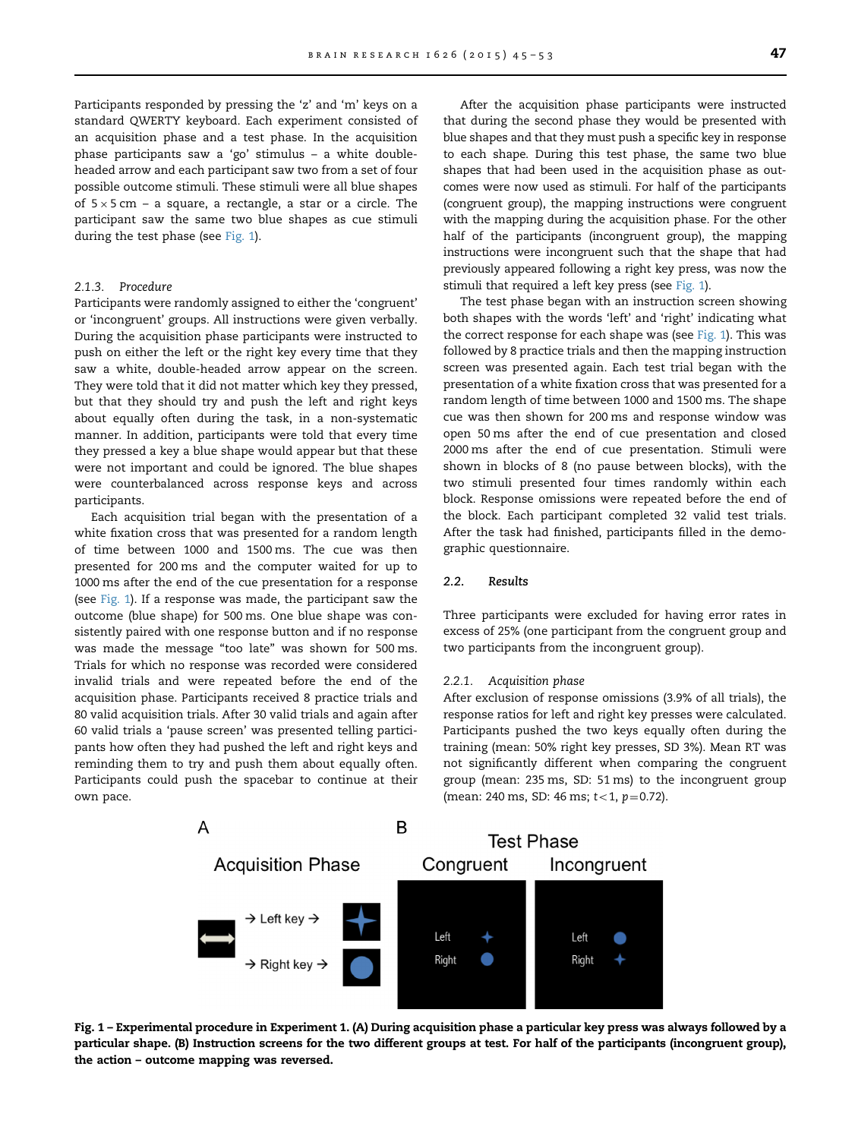Participants responded by pressing the 'z' and 'm' keys on a standard QWERTY keyboard. Each experiment consisted of an acquisition phase and a test phase. In the acquisition phase participants saw a 'go' stimulus – a white doubleheaded arrow and each participant saw two from a set of four possible outcome stimuli. These stimuli were all blue shapes of  $5 \times 5$  cm – a square, a rectangle, a star or a circle. The participant saw the same two blue shapes as cue stimuli during the test phase (see Fig. 1).

## 2.1.3. Procedure

Participants were randomly assigned to either the 'congruent' or 'incongruent' groups. All instructions were given verbally. During the acquisition phase participants were instructed to push on either the left or the right key every time that they saw a white, double-headed arrow appear on the screen. They were told that it did not matter which key they pressed, but that they should try and push the left and right keys about equally often during the task, in a non-systematic manner. In addition, participants were told that every time they pressed a key a blue shape would appear but that these were not important and could be ignored. The blue shapes were counterbalanced across response keys and across participants.

Each acquisition trial began with the presentation of a white fixation cross that was presented for a random length of time between 1000 and 1500 ms. The cue was then presented for 200 ms and the computer waited for up to 1000 ms after the end of the cue presentation for a response (see Fig. 1). If a response was made, the participant saw the outcome (blue shape) for 500 ms. One blue shape was consistently paired with one response button and if no response was made the message "too late" was shown for 500 ms. Trials for which no response was recorded were considered invalid trials and were repeated before the end of the acquisition phase. Participants received 8 practice trials and 80 valid acquisition trials. After 30 valid trials and again after 60 valid trials a 'pause screen' was presented telling participants how often they had pushed the left and right keys and reminding them to try and push them about equally often. Participants could push the spacebar to continue at their own pace.

After the acquisition phase participants were instructed that during the second phase they would be presented with blue shapes and that they must push a specific key in response to each shape. During this test phase, the same two blue shapes that had been used in the acquisition phase as outcomes were now used as stimuli. For half of the participants (congruent group), the mapping instructions were congruent with the mapping during the acquisition phase. For the other half of the participants (incongruent group), the mapping instructions were incongruent such that the shape that had previously appeared following a right key press, was now the stimuli that required a left key press (see Fig. 1).

The test phase began with an instruction screen showing both shapes with the words 'left' and 'right' indicating what the correct response for each shape was (see Fig. 1). This was followed by 8 practice trials and then the mapping instruction screen was presented again. Each test trial began with the presentation of a white fixation cross that was presented for a random length of time between 1000 and 1500 ms. The shape cue was then shown for 200 ms and response window was open 50 ms after the end of cue presentation and closed 2000 ms after the end of cue presentation. Stimuli were shown in blocks of 8 (no pause between blocks), with the two stimuli presented four times randomly within each block. Response omissions were repeated before the end of the block. Each participant completed 32 valid test trials. After the task had finished, participants filled in the demographic questionnaire.

#### 2.2. Results

Three participants were excluded for having error rates in excess of 25% (one participant from the congruent group and two participants from the incongruent group).

#### 2.2.1. Acquisition phase

After exclusion of response omissions (3.9% of all trials), the response ratios for left and right key presses were calculated. Participants pushed the two keys equally often during the training (mean: 50% right key presses, SD 3%). Mean RT was not significantly different when comparing the congruent group (mean: 235 ms, SD: 51 ms) to the incongruent group (mean: 240 ms, SD: 46 ms;  $t < 1$ ,  $p = 0.72$ ).



Fig. 1 – Experimental procedure in Experiment 1. (A) During acquisition phase a particular key press was always followed by a particular shape. (B) Instruction screens for the two different groups at test. For half of the participants (incongruent group), the action – outcome mapping was reversed.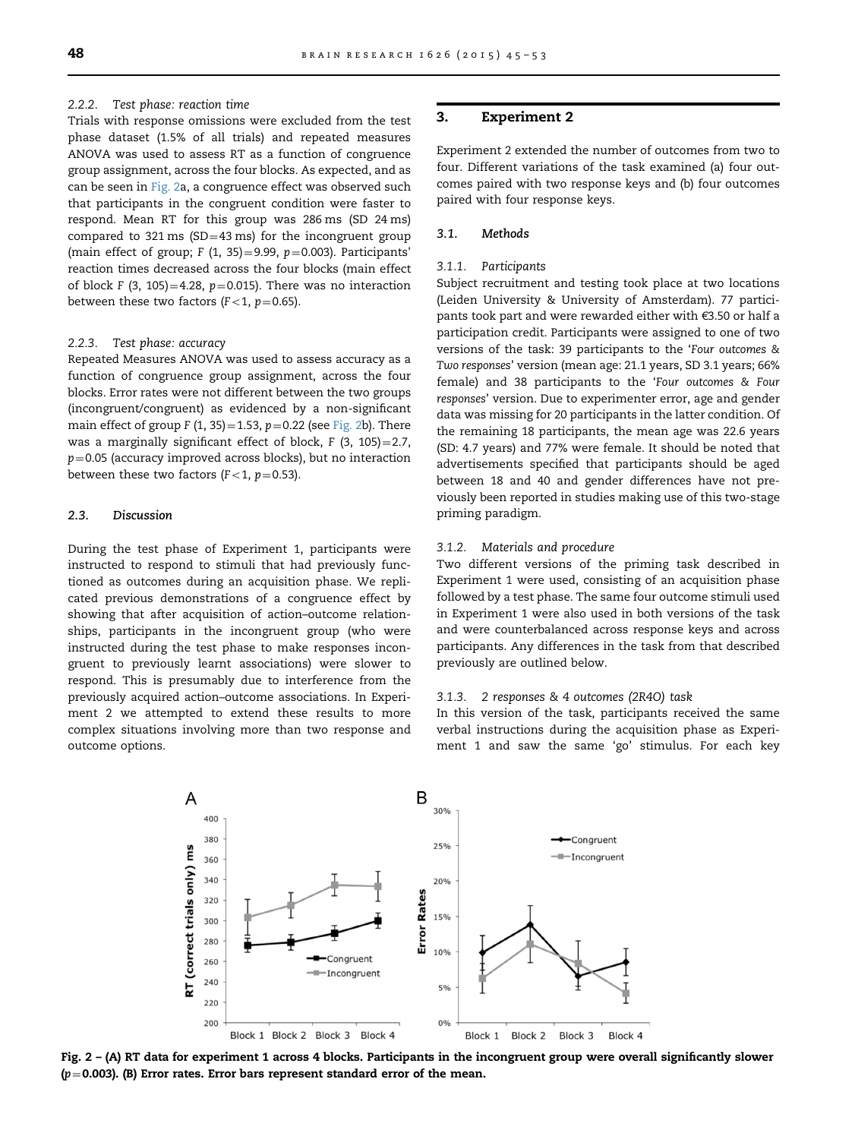#### 2.2.2. Test phase: reaction time

Trials with response omissions were excluded from the test phase dataset (1.5% of all trials) and repeated measures ANOVA was used to assess RT as a function of congruence group assignment, across the four blocks. As expected, and as can be seen in Fig. 2a, a congruence effect was observed such that participants in the congruent condition were faster to respond. Mean RT for this group was 286 ms (SD 24 ms) compared to 321 ms (SD=43 ms) for the incongruent group (main effect of group; F (1, 35)=9.99,  $p=0.003$ ). Participants' reaction times decreased across the four blocks (main effect of block F (3, 105)=4.28,  $p=0.015$ ). There was no interaction between these two factors ( $F<1$ ,  $p=0.65$ ).

#### 2.2.3. Test phase: accuracy

Repeated Measures ANOVA was used to assess accuracy as a function of congruence group assignment, across the four blocks. Error rates were not different between the two groups (incongruent/congruent) as evidenced by a non-significant main effect of group F (1, 35) = 1.53,  $p=0.22$  (see Fig. 2b). There was a marginally significant effect of block,  $F(3, 105) = 2.7$ ,  $p=0.05$  (accuracy improved across blocks), but no interaction between these two factors ( $F<1$ ,  $p=0.53$ ).

#### 2.3. Discussion

During the test phase of Experiment 1, participants were instructed to respond to stimuli that had previously functioned as outcomes during an acquisition phase. We replicated previous demonstrations of a congruence effect by showing that after acquisition of action–outcome relationships, participants in the incongruent group (who were instructed during the test phase to make responses incongruent to previously learnt associations) were slower to respond. This is presumably due to interference from the previously acquired action–outcome associations. In Experiment 2 we attempted to extend these results to more complex situations involving more than two response and outcome options.

#### 3. Experiment 2

Experiment 2 extended the number of outcomes from two to four. Different variations of the task examined (a) four outcomes paired with two response keys and (b) four outcomes paired with four response keys.

#### 3.1. Methods

#### 3.1.1. Participants

Subject recruitment and testing took place at two locations (Leiden University & University of Amsterdam). 77 participants took part and were rewarded either with €3.50 or half a participation credit. Participants were assigned to one of two versions of the task: 39 participants to the 'Four outcomes & Two responses' version (mean age: 21.1 years, SD 3.1 years; 66% female) and 38 participants to the 'Four outcomes & Four responses' version. Due to experimenter error, age and gender data was missing for 20 participants in the latter condition. Of the remaining 18 participants, the mean age was 22.6 years (SD: 4.7 years) and 77% were female. It should be noted that advertisements specified that participants should be aged between 18 and 40 and gender differences have not previously been reported in studies making use of this two-stage priming paradigm.

#### 3.1.2. Materials and procedure

Two different versions of the priming task described in Experiment 1 were used, consisting of an acquisition phase followed by a test phase. The same four outcome stimuli used in Experiment 1 were also used in both versions of the task and were counterbalanced across response keys and across participants. Any differences in the task from that described previously are outlined below.

#### 3.1.3. 2 responses & 4 outcomes (2R4O) task

In this version of the task, participants received the same verbal instructions during the acquisition phase as Experiment 1 and saw the same 'go' stimulus. For each key



Fig. 2 – (A) RT data for experiment 1 across 4 blocks. Participants in the incongruent group were overall significantly slower  $(p=0.003)$ . (B) Error rates. Error bars represent standard error of the mean.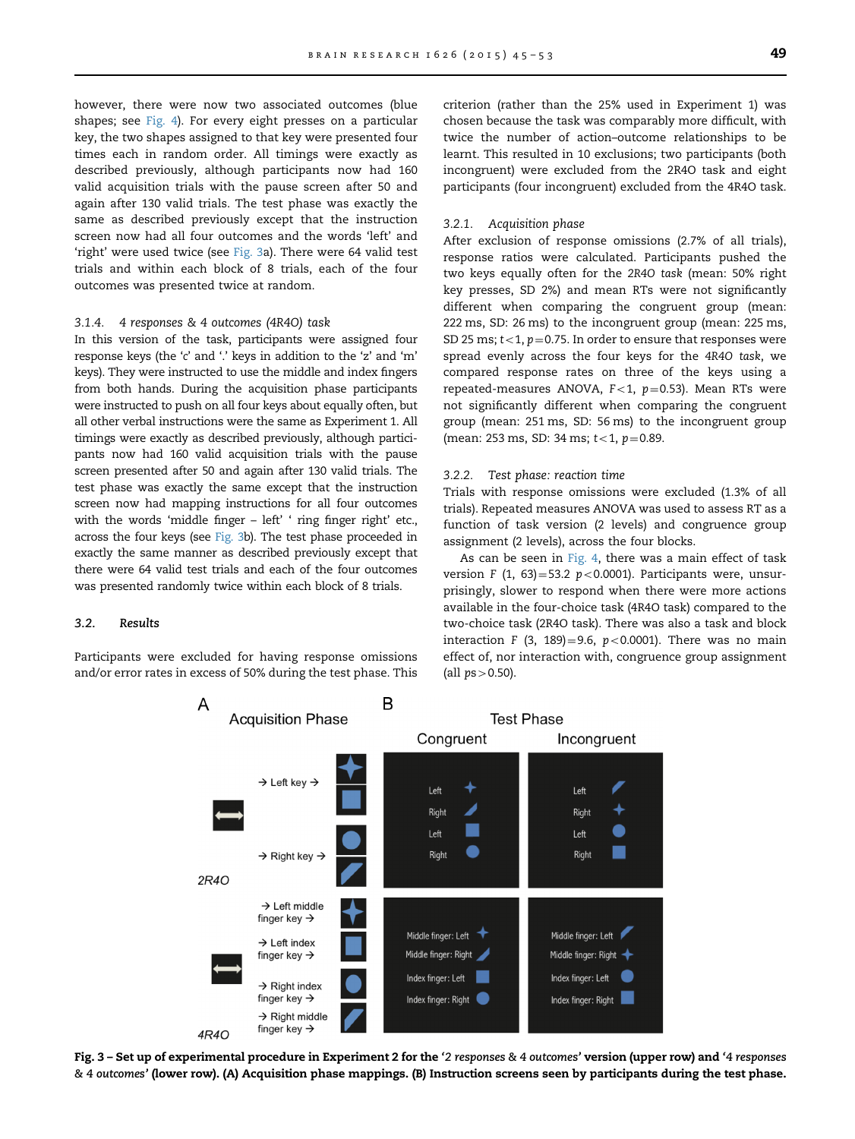however, there were now two associated outcomes (blue shapes; see [Fig. 4\)](#page-5-0). For every eight presses on a particular key, the two shapes assigned to that key were presented four times each in random order. All timings were exactly as described previously, although participants now had 160 valid acquisition trials with the pause screen after 50 and again after 130 valid trials. The test phase was exactly the same as described previously except that the instruction screen now had all four outcomes and the words 'left' and 'right' were used twice (see Fig. 3a). There were 64 valid test trials and within each block of 8 trials, each of the four outcomes was presented twice at random.

#### 3.1.4. 4 responses & 4 outcomes (4R4O) task

In this version of the task, participants were assigned four response keys (the 'c' and '.' keys in addition to the 'z' and 'm' keys). They were instructed to use the middle and index fingers from both hands. During the acquisition phase participants were instructed to push on all four keys about equally often, but all other verbal instructions were the same as Experiment 1. All timings were exactly as described previously, although participants now had 160 valid acquisition trials with the pause screen presented after 50 and again after 130 valid trials. The test phase was exactly the same except that the instruction screen now had mapping instructions for all four outcomes with the words 'middle finger – left' ' ring finger right' etc., across the four keys (see Fig. 3b). The test phase proceeded in exactly the same manner as described previously except that there were 64 valid test trials and each of the four outcomes was presented randomly twice within each block of 8 trials.

#### 3.2. Results

Participants were excluded for having response omissions and/or error rates in excess of 50% during the test phase. This

criterion (rather than the 25% used in Experiment 1) was chosen because the task was comparably more difficult, with twice the number of action–outcome relationships to be learnt. This resulted in 10 exclusions; two participants (both incongruent) were excluded from the 2R4O task and eight participants (four incongruent) excluded from the 4R4O task.

#### 3.2.1. Acquisition phase

After exclusion of response omissions (2.7% of all trials), response ratios were calculated. Participants pushed the two keys equally often for the 2R4O task (mean: 50% right key presses, SD 2%) and mean RTs were not significantly different when comparing the congruent group (mean: 222 ms, SD: 26 ms) to the incongruent group (mean: 225 ms, SD 25 ms;  $t<1$ ,  $p=0.75$ . In order to ensure that responses were spread evenly across the four keys for the 4R4O task, we compared response rates on three of the keys using a repeated-measures ANOVA,  $F<1$ ,  $p=0.53$ ). Mean RTs were not significantly different when comparing the congruent group (mean: 251 ms, SD: 56 ms) to the incongruent group (mean: 253 ms, SD: 34 ms;  $t < 1$ ,  $p = 0.89$ .

#### 3.2.2. Test phase: reaction time

Trials with response omissions were excluded (1.3% of all trials). Repeated measures ANOVA was used to assess RT as a function of task version (2 levels) and congruence group assignment (2 levels), across the four blocks.

As can be seen in [Fig. 4,](#page-5-0) there was a main effect of task version F (1, 63)=53.2 p<0.0001). Participants were, unsurprisingly, slower to respond when there were more actions available in the four-choice task (4R4O task) compared to the two-choice task (2R4O task). There was also a task and block interaction F (3, 189)=9.6,  $p < 0.0001$ ). There was no main effect of, nor interaction with, congruence group assignment (all  $ps > 0.50$ ).



Fig. 3 – Set up of experimental procedure in Experiment 2 for the '2 responses & 4 outcomes' version (upper row) and '4 responses & 4 outcomes' (lower row). (A) Acquisition phase mappings. (B) Instruction screens seen by participants during the test phase.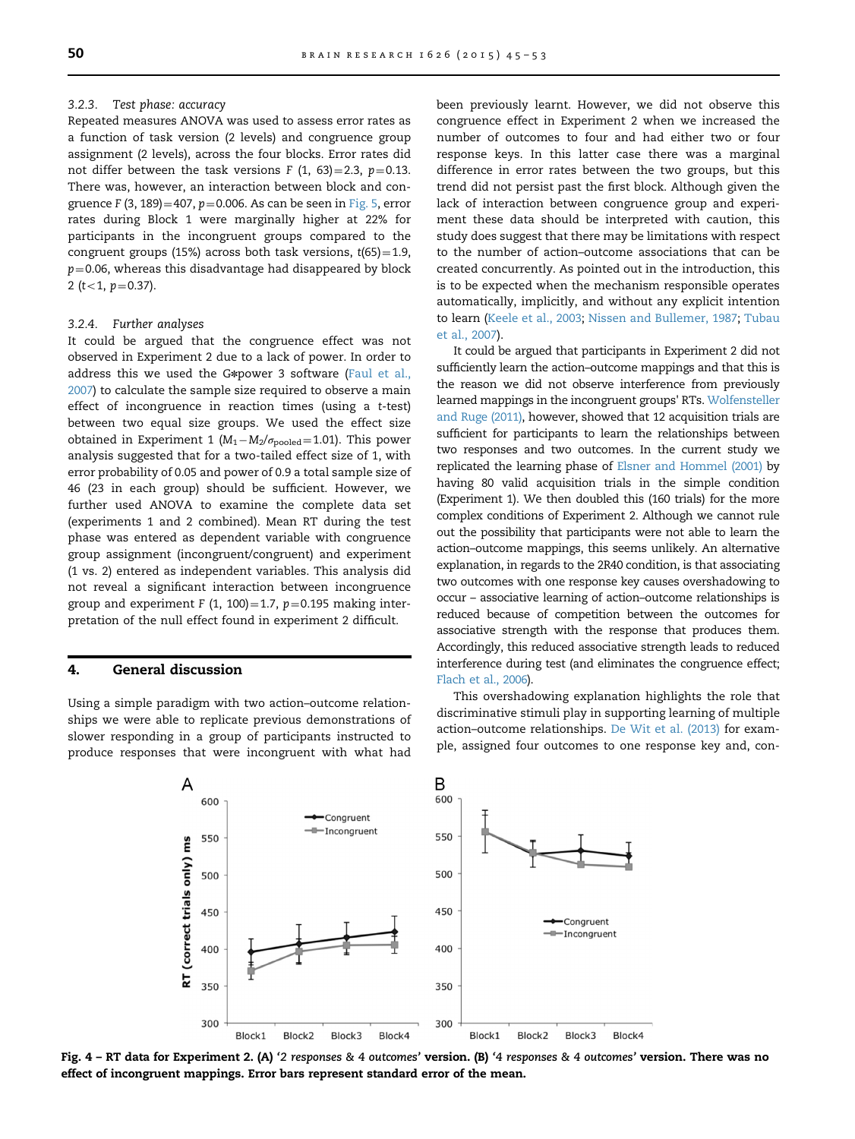#### <span id="page-5-0"></span>3.2.3. Test phase: accuracy

Repeated measures ANOVA was used to assess error rates as a function of task version (2 levels) and congruence group assignment (2 levels), across the four blocks. Error rates did not differ between the task versions  $F(1, 63)=2.3$ ,  $p=0.13$ . There was, however, an interaction between block and congruence F (3, 189) = 407,  $p = 0.006$ . As can be seen in [Fig. 5](#page-6-0), error rates during Block 1 were marginally higher at 22% for participants in the incongruent groups compared to the congruent groups (15%) across both task versions,  $t(65) = 1.9$ ,  $p=0.06$ , whereas this disadvantage had disappeared by block 2 (t < 1,  $p = 0.37$ ).

#### 3.2.4. Further analyses

It could be argued that the congruence effect was not observed in Experiment 2 due to a lack of power. In order to address this we used the G\*power 3 software ([Faul et al.,](#page-7-0) [2007\)](#page-7-0) to calculate the sample size required to observe a main effect of incongruence in reaction times (using a t-test) between two equal size groups. We used the effect size obtained in Experiment 1 ( $M_1-M_2/\sigma_{\text{pooled}}$ =1.01). This power analysis suggested that for a two-tailed effect size of 1, with error probability of 0.05 and power of 0.9 a total sample size of 46 (23 in each group) should be sufficient. However, we further used ANOVA to examine the complete data set (experiments 1 and 2 combined). Mean RT during the test phase was entered as dependent variable with congruence group assignment (incongruent/congruent) and experiment (1 vs. 2) entered as independent variables. This analysis did not reveal a significant interaction between incongruence group and experiment F (1, 100)=1.7,  $p=0.195$  making interpretation of the null effect found in experiment 2 difficult.

# 4. General discussion

Using a simple paradigm with two action–outcome relationships we were able to replicate previous demonstrations of slower responding in a group of participants instructed to produce responses that were incongruent with what had

been previously learnt. However, we did not observe this congruence effect in Experiment 2 when we increased the number of outcomes to four and had either two or four response keys. In this latter case there was a marginal difference in error rates between the two groups, but this trend did not persist past the first block. Although given the lack of interaction between congruence group and experiment these data should be interpreted with caution, this study does suggest that there may be limitations with respect to the number of action–outcome associations that can be created concurrently. As pointed out in the introduction, this is to be expected when the mechanism responsible operates automatically, implicitly, and without any explicit intention to learn ([Keele et al., 2003](#page-7-0); [Nissen and Bullemer, 1987;](#page-8-0) [Tubau](#page-8-0) [et al., 2007](#page-8-0)).

It could be argued that participants in Experiment 2 did not sufficiently learn the action–outcome mappings and that this is the reason we did not observe interference from previously learned mappings in the incongruent groups' RTs. [Wolfensteller](#page-8-0) [and Ruge \(2011\),](#page-8-0) however, showed that 12 acquisition trials are sufficient for participants to learn the relationships between two responses and two outcomes. In the current study we replicated the learning phase of [Elsner and Hommel \(2001\)](#page-7-0) by having 80 valid acquisition trials in the simple condition (Experiment 1). We then doubled this (160 trials) for the more complex conditions of Experiment 2. Although we cannot rule out the possibility that participants were not able to learn the action–outcome mappings, this seems unlikely. An alternative explanation, in regards to the 2R40 condition, is that associating two outcomes with one response key causes overshadowing to occur – associative learning of action–outcome relationships is reduced because of competition between the outcomes for associative strength with the response that produces them. Accordingly, this reduced associative strength leads to reduced interference during test (and eliminates the congruence effect; [Flach et al., 2006](#page-7-0)).

This overshadowing explanation highlights the role that discriminative stimuli play in supporting learning of multiple action–outcome relationships. [De Wit et al. \(2013\)](#page-7-0) for example, assigned four outcomes to one response key and, con-



Fig. 4 – RT data for Experiment 2. (A) '2 responses & 4 outcomes' version. (B) '4 responses & 4 outcomes' version. There was no effect of incongruent mappings. Error bars represent standard error of the mean.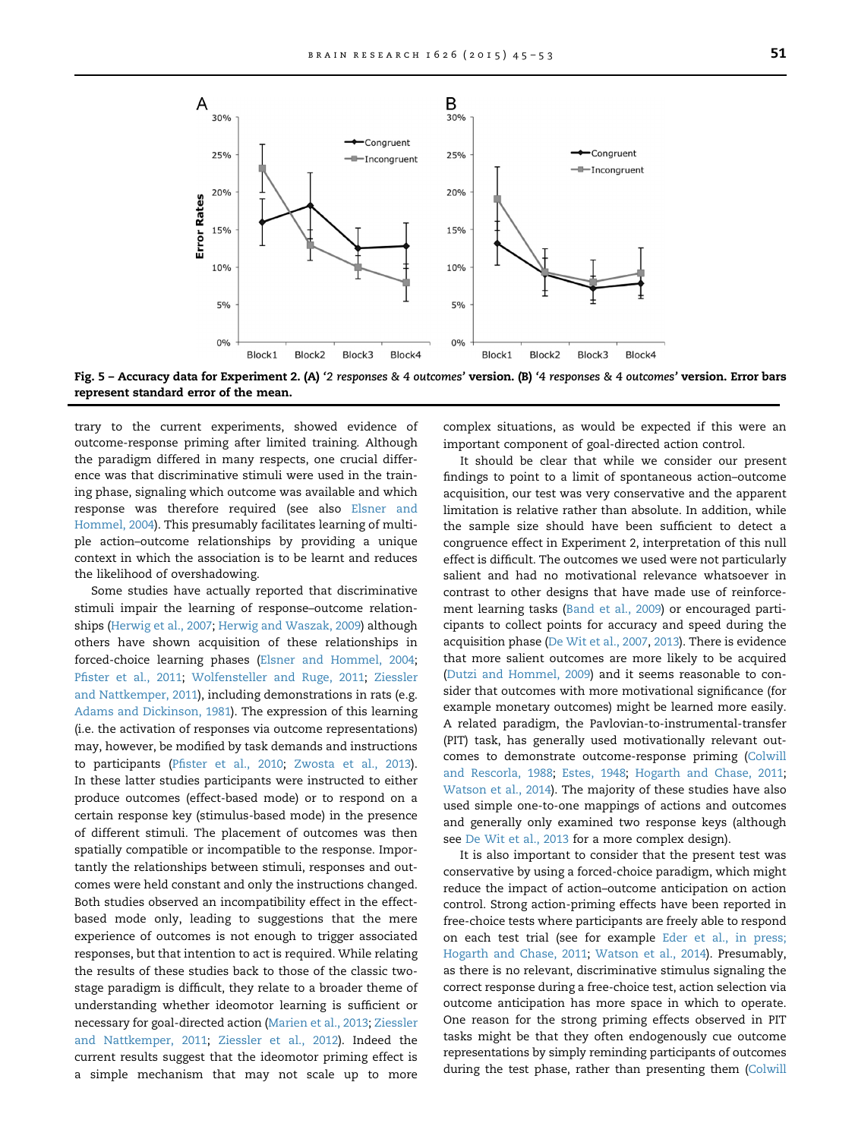<span id="page-6-0"></span>

Fig. 5 – Accuracy data for Experiment 2. (A) '2 responses & 4 outcomes' version. (B) '4 responses & 4 outcomes' version. Error bars represent standard error of the mean.

trary to the current experiments, showed evidence of outcome-response priming after limited training. Although the paradigm differed in many respects, one crucial difference was that discriminative stimuli were used in the training phase, signaling which outcome was available and which response was therefore required (see also [Elsner and](#page-7-0) [Hommel, 2004](#page-7-0)). This presumably facilitates learning of multiple action–outcome relationships by providing a unique context in which the association is to be learnt and reduces the likelihood of overshadowing.

Some studies have actually reported that discriminative stimuli impair the learning of response–outcome relationships [\(Herwig et al., 2007;](#page-7-0) [Herwig and Waszak, 2009](#page-7-0)) although others have shown acquisition of these relationships in forced-choice learning phases [\(Elsner and Hommel, 2004;](#page-7-0) Pfi[ster et al., 2011;](#page-8-0) [Wolfensteller and Ruge, 2011;](#page-8-0) [Ziessler](#page-8-0) [and Nattkemper, 2011\)](#page-8-0), including demonstrations in rats (e.g. [Adams and Dickinson, 1981\)](#page-7-0). The expression of this learning (i.e. the activation of responses via outcome representations) may, however, be modified by task demands and instructions to participants (Pfi[ster et al., 2010](#page-8-0); [Zwosta et al., 2013](#page-8-0)). In these latter studies participants were instructed to either produce outcomes (effect-based mode) or to respond on a certain response key (stimulus-based mode) in the presence of different stimuli. The placement of outcomes was then spatially compatible or incompatible to the response. Importantly the relationships between stimuli, responses and outcomes were held constant and only the instructions changed. Both studies observed an incompatibility effect in the effectbased mode only, leading to suggestions that the mere experience of outcomes is not enough to trigger associated responses, but that intention to act is required. While relating the results of these studies back to those of the classic twostage paradigm is difficult, they relate to a broader theme of understanding whether ideomotor learning is sufficient or necessary for goal-directed action ([Marien et al., 2013;](#page-7-0) [Ziessler](#page-8-0) [and Nattkemper, 2011](#page-8-0); [Ziessler et al., 2012\)](#page-8-0). Indeed the current results suggest that the ideomotor priming effect is a simple mechanism that may not scale up to more complex situations, as would be expected if this were an important component of goal-directed action control.

It should be clear that while we consider our present findings to point to a limit of spontaneous action–outcome acquisition, our test was very conservative and the apparent limitation is relative rather than absolute. In addition, while the sample size should have been sufficient to detect a congruence effect in Experiment 2, interpretation of this null effect is difficult. The outcomes we used were not particularly salient and had no motivational relevance whatsoever in contrast to other designs that have made use of reinforcement learning tasks ([Band et al., 2009\)](#page-7-0) or encouraged participants to collect points for accuracy and speed during the acquisition phase [\(De Wit et al., 2007](#page-7-0), [2013](#page-7-0)). There is evidence that more salient outcomes are more likely to be acquired [\(Dutzi and Hommel, 2009](#page-7-0)) and it seems reasonable to consider that outcomes with more motivational significance (for example monetary outcomes) might be learned more easily. A related paradigm, the Pavlovian-to-instrumental-transfer (PIT) task, has generally used motivationally relevant outcomes to demonstrate outcome-response priming [\(Colwill](#page-7-0) [and Rescorla, 1988](#page-7-0); [Estes, 1948;](#page-7-0) [Hogarth and Chase, 2011;](#page-7-0) [Watson et al., 2014\)](#page-8-0). The majority of these studies have also used simple one-to-one mappings of actions and outcomes and generally only examined two response keys (although see [De Wit et al., 2013](#page-7-0) for a more complex design).

It is also important to consider that the present test was conservative by using a forced-choice paradigm, which might reduce the impact of action–outcome anticipation on action control. Strong action-priming effects have been reported in free-choice tests where participants are freely able to respond on each test trial (see for example [Eder et al., in press;](#page-7-0) [Hogarth and Chase, 2011](#page-7-0); [Watson et al., 2014](#page-7-0)). Presumably, as there is no relevant, discriminative stimulus signaling the correct response during a free-choice test, action selection via outcome anticipation has more space in which to operate. One reason for the strong priming effects observed in PIT tasks might be that they often endogenously cue outcome representations by simply reminding participants of outcomes during the test phase, rather than presenting them ([Colwill](#page-7-0)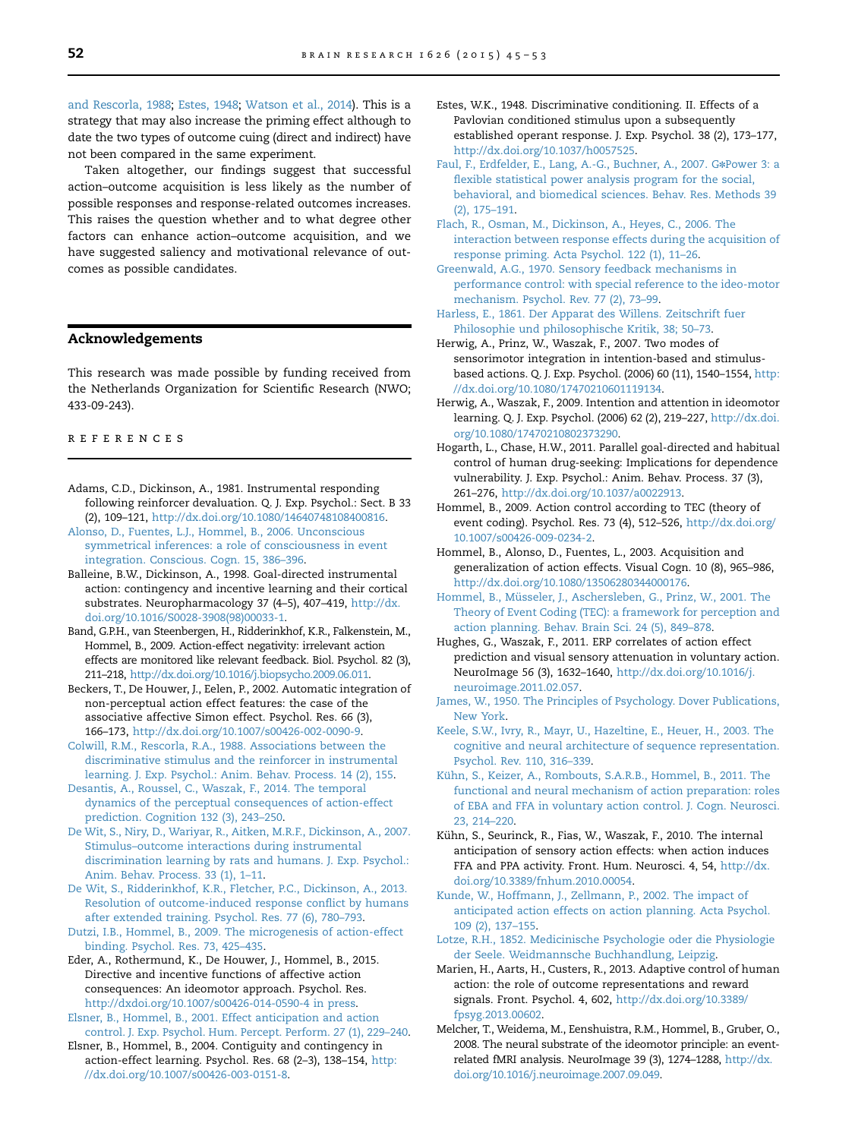<span id="page-7-0"></span>and Rescorla, 1988; Estes, 1948; [Watson et al., 2014](#page-8-0)). This is a strategy that may also increase the priming effect although to date the two types of outcome cuing (direct and indirect) have not been compared in the same experiment.

Taken altogether, our findings suggest that successful action–outcome acquisition is less likely as the number of possible responses and response-related outcomes increases. This raises the question whether and to what degree other factors can enhance action–outcome acquisition, and we have suggested saliency and motivational relevance of outcomes as possible candidates.

#### Acknowledgements

This research was made possible by funding received from the Netherlands Organization for Scientific Research (NWO; 433-09-243).

#### references

Adams, C.D., Dickinson, A., 1981. Instrumental responding following reinforcer devaluation. Q. J. Exp. Psychol.: Sect. B 33 (2), 109–121, <http://dx.doi.org/10.1080/14640748108400816>.

- [Alonso, D., Fuentes, L.J., Hommel, B., 2006. Unconscious](http://refhub.elsevier.com/S0006-8993(15)00120-1/sbref2) [symmetrical inferences: a role of consciousness in event](http://refhub.elsevier.com/S0006-8993(15)00120-1/sbref2) [integration. Conscious. Cogn. 15, 386–396.](http://refhub.elsevier.com/S0006-8993(15)00120-1/sbref2)
- Balleine, B.W., Dickinson, A., 1998. Goal-directed instrumental action: contingency and incentive learning and their cortical substrates. Neuropharmacology 37 (4–5), 407–419, [http://dx.](http://dx.doi.org/10.1016/S0028-3908(98)00033-1) [doi.org/10.1016/S0028-3908\(98\)00033-1](http://dx.doi.org/10.1016/S0028-3908(98)00033-1).
- Band, G.P.H., van Steenbergen, H., Ridderinkhof, K.R., Falkenstein, M., Hommel, B., 2009. Action-effect negativity: irrelevant action effects are monitored like relevant feedback. Biol. Psychol. 82 (3), 211–218, [http://dx.doi.org/10.1016/j.biopsycho.2009.06.011.](http://dx.doi.org/10.1016/j.biopsycho.2009.06.011)
- Beckers, T., De Houwer, J., Eelen, P., 2002. Automatic integration of non-perceptual action effect features: the case of the associative affective Simon effect. Psychol. Res. 66 (3), 166–173, <http://dx.doi.org/10.1007/s00426-002-0090-9>.
- [Colwill, R.M., Rescorla, R.A., 1988. Associations between the](http://refhub.elsevier.com/S0006-8993(15)00120-1/sbref6) [discriminative stimulus and the reinforcer in instrumental](http://refhub.elsevier.com/S0006-8993(15)00120-1/sbref6) [learning. J. Exp. Psychol.: Anim. Behav. Process. 14 \(2\), 155.](http://refhub.elsevier.com/S0006-8993(15)00120-1/sbref6)
- [Desantis, A., Roussel, C., Waszak, F., 2014. The temporal](http://refhub.elsevier.com/S0006-8993(15)00120-1/sbref7) [dynamics of the perceptual consequences of action-effect](http://refhub.elsevier.com/S0006-8993(15)00120-1/sbref7) [prediction. Cognition 132 \(3\), 243–250.](http://refhub.elsevier.com/S0006-8993(15)00120-1/sbref7)
- [De Wit, S., Niry, D., Wariyar, R., Aitken, M.R.F., Dickinson, A., 2007.](http://refhub.elsevier.com/S0006-8993(15)00120-1/sbref8) [Stimulus–outcome interactions during instrumental](http://refhub.elsevier.com/S0006-8993(15)00120-1/sbref8) [discrimination learning by rats and humans. J. Exp. Psychol.:](http://refhub.elsevier.com/S0006-8993(15)00120-1/sbref8) [Anim. Behav. Process. 33 \(1\), 1–11.](http://refhub.elsevier.com/S0006-8993(15)00120-1/sbref8)
- [De Wit, S., Ridderinkhof, K.R., Fletcher, P.C., Dickinson, A., 2013.](http://refhub.elsevier.com/S0006-8993(15)00120-1/sbref9) [Resolution of outcome-induced response conflict by humans](http://refhub.elsevier.com/S0006-8993(15)00120-1/sbref9) [after extended training. Psychol. Res. 77 \(6\), 780–793.](http://refhub.elsevier.com/S0006-8993(15)00120-1/sbref9)
- [Dutzi, I.B., Hommel, B., 2009. The microgenesis of action-effect](http://refhub.elsevier.com/S0006-8993(15)00120-1/sbref10) [binding. Psychol. Res. 73, 425–435.](http://refhub.elsevier.com/S0006-8993(15)00120-1/sbref10)
- Eder, A., Rothermund, K., De Houwer, J., Hommel, B., 2015. Directive and incentive functions of affective action consequences: An ideomotor approach. Psychol. Res. [http://dxdoi.org/10.1007/s00426-014-0590-4](http://dx.doi.org/10.1007/s00426-014-0590-4) in press.
- [Elsner, B., Hommel, B., 2001. Effect anticipation and action](http://refhub.elsevier.com/S0006-8993(15)00120-1/sbref12) [control. J. Exp. Psychol. Hum. Percept. Perform.](http://refhub.elsevier.com/S0006-8993(15)00120-1/sbref12) 27 (1), 229–240.
- Elsner, B., Hommel, B., 2004. Contiguity and contingency in action-effect learning. Psychol. Res. 68 (2–3), 138–154, [http:](http://dx.doi.org/10.1007/s00426-003-0151-8) [//dx.doi.org/10.1007/s00426-003-0151-8](http://dx.doi.org/10.1007/s00426-003-0151-8).
- Estes, W.K., 1948. Discriminative conditioning. II. Effects of a Pavlovian conditioned stimulus upon a subsequently established operant response. J. Exp. Psychol. 38 (2), 173–177, <http://dx.doi.org/10.1037/h0057525>.
- [Faul, F., Erdfelder, E., Lang, A.-G., Buchner, A., 2007. G](http://refhub.elsevier.com/S0006-8993(15)00120-1/sbref15)\*[Power 3: a](http://refhub.elsevier.com/S0006-8993(15)00120-1/sbref15) [flexible statistical power analysis program for the social,](http://refhub.elsevier.com/S0006-8993(15)00120-1/sbref15) [behavioral, and biomedical sciences. Behav. Res. Methods 39](http://refhub.elsevier.com/S0006-8993(15)00120-1/sbref15) [\(2\), 175–191.](http://refhub.elsevier.com/S0006-8993(15)00120-1/sbref15)
- [Flach, R., Osman, M., Dickinson, A., Heyes, C., 2006. The](http://refhub.elsevier.com/S0006-8993(15)00120-1/sbref16) [interaction between response effects during the acquisition of](http://refhub.elsevier.com/S0006-8993(15)00120-1/sbref16) [response priming. Acta Psychol. 122 \(1\), 11–26.](http://refhub.elsevier.com/S0006-8993(15)00120-1/sbref16)
- [Greenwald, A.G., 1970. Sensory feedback mechanisms in](http://refhub.elsevier.com/S0006-8993(15)00120-1/sbref17) [performance control: with special reference to the ideo-motor](http://refhub.elsevier.com/S0006-8993(15)00120-1/sbref17) [mechanism. Psychol. Rev. 77 \(2\), 73–99.](http://refhub.elsevier.com/S0006-8993(15)00120-1/sbref17)
- [Harless, E., 1861. Der Apparat des Willens. Zeitschrift fuer](http://refhub.elsevier.com/S0006-8993(15)00120-1/sbref18) [Philosophie und philosophische Kritik, 38; 50–73.](http://refhub.elsevier.com/S0006-8993(15)00120-1/sbref18)
- Herwig, A., Prinz, W., Waszak, F., 2007. Two modes of sensorimotor integration in intention-based and stimulusbased actions. Q. J. Exp. Psychol. (2006) 60 (11), 1540–1554, [http:](http://dx.doi.org/10.1080/17470210601119134) [//dx.doi.org/10.1080/17470210601119134.](http://dx.doi.org/10.1080/17470210601119134)
- Herwig, A., Waszak, F., 2009. Intention and attention in ideomotor learning. Q. J. Exp. Psychol. (2006) 62 (2), 219–227, [http://dx.doi.](http://dx.doi.org/10.1080/17470210802373290) [org/10.1080/17470210802373290.](http://dx.doi.org/10.1080/17470210802373290)
- Hogarth, L., Chase, H.W., 2011. Parallel goal-directed and habitual control of human drug-seeking: Implications for dependence vulnerability. J. Exp. Psychol.: Anim. Behav. Process. 37 (3), 261–276, [http://dx.doi.org/10.1037/a0022913.](http://dx.doi.org/10.1037/a0022913)
- Hommel, B., 2009. Action control according to TEC (theory of event coding). Psychol. Res. 73 (4), 512–526, [http://dx.doi.org/](http://dx.doi.org/10.1007/s00426-009-0234-2) [10.1007/s00426-009-0234-2](http://dx.doi.org/10.1007/s00426-009-0234-2).
- Hommel, B., Alonso, D., Fuentes, L., 2003. Acquisition and generalization of action effects. Visual Cogn. 10 (8), 965–986, [http://dx.doi.org/10.1080/13506280344000176.](http://dx.doi.org/10.1080/13506280344000176)
- Hommel, B., Mü[sseler, J., Aschersleben, G., Prinz, W., 2001. The](http://refhub.elsevier.com/S0006-8993(15)00120-1/sbref24) [Theory of Event Coding \(TEC\): a framework for perception and](http://refhub.elsevier.com/S0006-8993(15)00120-1/sbref24) [action planning. Behav. Brain Sci. 24 \(5\), 849–878.](http://refhub.elsevier.com/S0006-8993(15)00120-1/sbref24)
- Hughes, G., Waszak, F., 2011. ERP correlates of action effect prediction and visual sensory attenuation in voluntary action. NeuroImage 56 (3), 1632–1640, [http://dx.doi.org/10.1016/j.](http://dx.doi.org/10.1016/j.neuroimage.2011.02.057) [neuroimage.2011.02.057.](http://dx.doi.org/10.1016/j.neuroimage.2011.02.057)
- [James, W., 1950. The Principles of Psychology. Dover Publications,](http://refhub.elsevier.com/S0006-8993(15)00120-1/sbref26) [New York.](http://refhub.elsevier.com/S0006-8993(15)00120-1/sbref26)
- [Keele, S.W., Ivry, R., Mayr, U., Hazeltine, E., Heuer, H., 2003. The](http://refhub.elsevier.com/S0006-8993(15)00120-1/sbref27) [cognitive and neural architecture of sequence representation.](http://refhub.elsevier.com/S0006-8993(15)00120-1/sbref27) [Psychol. Rev. 110, 316–339.](http://refhub.elsevier.com/S0006-8993(15)00120-1/sbref27)
- Kühn, S., Keizer, A., Rombouts, S.A.R.B., Hommel, B., 2011. The [functional and neural mechanism of action preparation: roles](http://refhub.elsevier.com/S0006-8993(15)00120-1/sbref28) [of EBA and FFA in voluntary action control. J. Cogn. Neurosci.](http://refhub.elsevier.com/S0006-8993(15)00120-1/sbref28) [23, 214–220.](http://refhub.elsevier.com/S0006-8993(15)00120-1/sbref28)
- Kühn, S., Seurinck, R., Fias, W., Waszak, F., 2010. The internal anticipation of sensory action effects: when action induces FFA and PPA activity. Front. Hum. Neurosci. 4, 54, [http://dx.](http://dx.doi.org/10.3389/fnhum.2010.00054) [doi.org/10.3389/fnhum.2010.00054](http://dx.doi.org/10.3389/fnhum.2010.00054).
- [Kunde, W., Hoffmann, J., Zellmann, P., 2002. The impact of](http://refhub.elsevier.com/S0006-8993(15)00120-1/sbref30) [anticipated action effects on action planning. Acta Psychol.](http://refhub.elsevier.com/S0006-8993(15)00120-1/sbref30) [109 \(2\), 137–155.](http://refhub.elsevier.com/S0006-8993(15)00120-1/sbref30)
- [Lotze, R.H., 1852. Medicinische Psychologie oder die Physiologie](http://refhub.elsevier.com/S0006-8993(15)00120-1/sbref31) [der Seele. Weidmannsche Buchhandlung, Leipzig.](http://refhub.elsevier.com/S0006-8993(15)00120-1/sbref31)
- Marien, H., Aarts, H., Custers, R., 2013. Adaptive control of human action: the role of outcome representations and reward signals. Front. Psychol. 4, 602, [http://dx.doi.org/10.3389/](http://dx.doi.org/10.3389/fpsyg.2013.00602) [fpsyg.2013.00602](http://dx.doi.org/10.3389/fpsyg.2013.00602).
- Melcher, T., Weidema, M., Eenshuistra, R.M., Hommel, B., Gruber, O., 2008. The neural substrate of the ideomotor principle: an eventrelated fMRI analysis. NeuroImage 39 (3), 1274–1288, [http://dx.](http://dx.doi.org/10.1016/j.neuroimage.2007.09.049) [doi.org/10.1016/j.neuroimage.2007.09.049.](http://dx.doi.org/10.1016/j.neuroimage.2007.09.049)